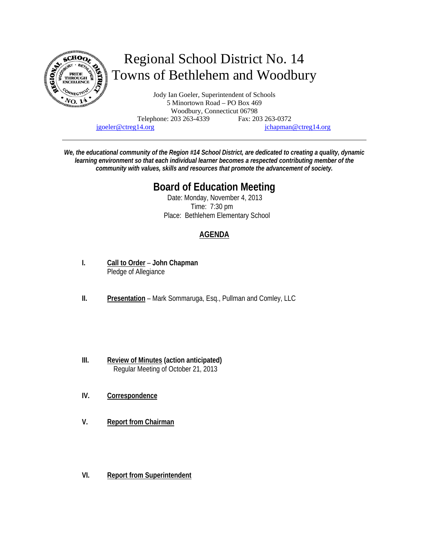

jgoeler@ctreg14.org jchapman@ctreg14.org

*We, the educational community of the Region #14 School District, are dedicated to creating a quality, dynamic learning environment so that each individual learner becomes a respected contributing member of the community with values, skills and resources that promote the advancement of society.* 

# **Board of Education Meeting**

 Date: Monday, November 4, 2013 Time: 7:30 pm Place: Bethlehem Elementary School

# **AGENDA**

- **I. Call to Order John Chapman** Pledge of Allegiance
- **II. Presentation** Mark Sommaruga, Esq., Pullman and Comley, LLC
- **III. Review of Minutes (action anticipated)** Regular Meeting of October 21, 2013
- **IV. Correspondence**
- **V. Report from Chairman**
- **VI. Report from Superintendent**